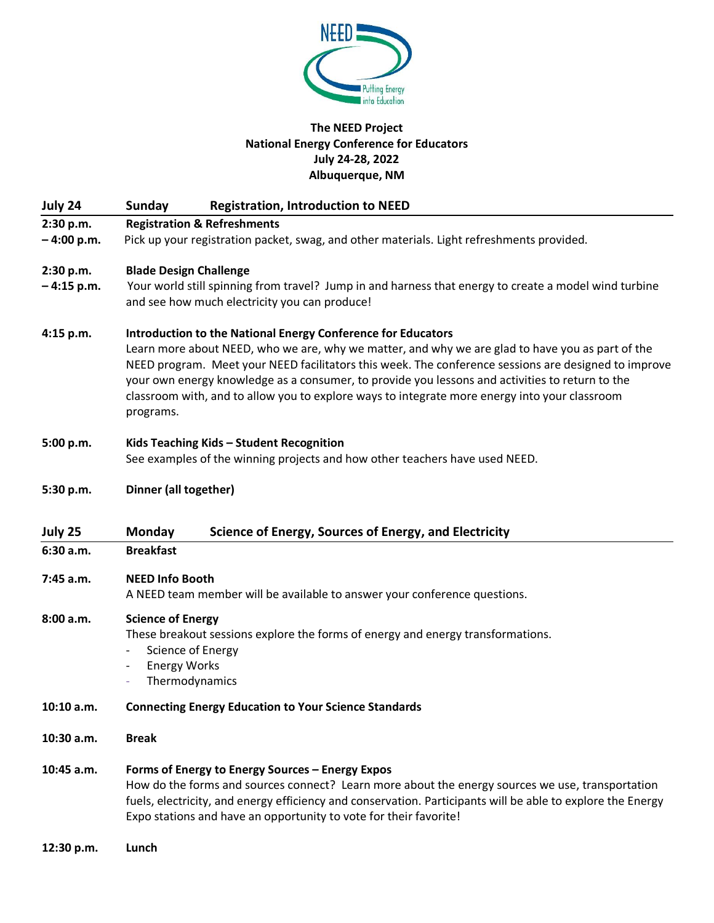

# **The NEED Project National Energy Conference for Educators July 24-28, 2022 Albuquerque, NM**

| July 24                   | <b>Registration, Introduction to NEED</b><br>Sunday                                                                                                                                                                                                                                                                                                                                                                                                                                       |  |  |  |
|---------------------------|-------------------------------------------------------------------------------------------------------------------------------------------------------------------------------------------------------------------------------------------------------------------------------------------------------------------------------------------------------------------------------------------------------------------------------------------------------------------------------------------|--|--|--|
| 2:30 p.m.<br>$-4:00 p.m.$ | <b>Registration &amp; Refreshments</b><br>Pick up your registration packet, swag, and other materials. Light refreshments provided.                                                                                                                                                                                                                                                                                                                                                       |  |  |  |
| 2:30 p.m.<br>$-4:15 p.m.$ | <b>Blade Design Challenge</b><br>Your world still spinning from travel? Jump in and harness that energy to create a model wind turbine<br>and see how much electricity you can produce!                                                                                                                                                                                                                                                                                                   |  |  |  |
| 4:15 p.m.                 | Introduction to the National Energy Conference for Educators<br>Learn more about NEED, who we are, why we matter, and why we are glad to have you as part of the<br>NEED program. Meet your NEED facilitators this week. The conference sessions are designed to improve<br>your own energy knowledge as a consumer, to provide you lessons and activities to return to the<br>classroom with, and to allow you to explore ways to integrate more energy into your classroom<br>programs. |  |  |  |
| 5:00 p.m.                 | Kids Teaching Kids - Student Recognition<br>See examples of the winning projects and how other teachers have used NEED.                                                                                                                                                                                                                                                                                                                                                                   |  |  |  |
| 5:30 p.m.                 | Dinner (all together)                                                                                                                                                                                                                                                                                                                                                                                                                                                                     |  |  |  |
| July 25                   | Science of Energy, Sources of Energy, and Electricity<br><b>Monday</b>                                                                                                                                                                                                                                                                                                                                                                                                                    |  |  |  |
| 6:30 a.m.                 | <b>Breakfast</b>                                                                                                                                                                                                                                                                                                                                                                                                                                                                          |  |  |  |
| 7:45 a.m.                 | <b>NEED Info Booth</b><br>A NEED team member will be available to answer your conference questions.                                                                                                                                                                                                                                                                                                                                                                                       |  |  |  |
| 8:00 a.m.                 | <b>Science of Energy</b><br>These breakout sessions explore the forms of energy and energy transformations.<br>Science of Energy<br><b>Energy Works</b><br>Thermodynamics                                                                                                                                                                                                                                                                                                                 |  |  |  |
| 10:10 a.m.                | <b>Connecting Energy Education to Your Science Standards</b>                                                                                                                                                                                                                                                                                                                                                                                                                              |  |  |  |
| $10:30$ a.m.              | <b>Break</b>                                                                                                                                                                                                                                                                                                                                                                                                                                                                              |  |  |  |
| 10:45 a.m.                | Forms of Energy to Energy Sources - Energy Expos<br>How do the forms and sources connect? Learn more about the energy sources we use, transportation<br>fuels, electricity, and energy efficiency and conservation. Participants will be able to explore the Energy<br>Expo stations and have an opportunity to vote for their favorite!                                                                                                                                                  |  |  |  |
| 12:30 p.m.                | Lunch                                                                                                                                                                                                                                                                                                                                                                                                                                                                                     |  |  |  |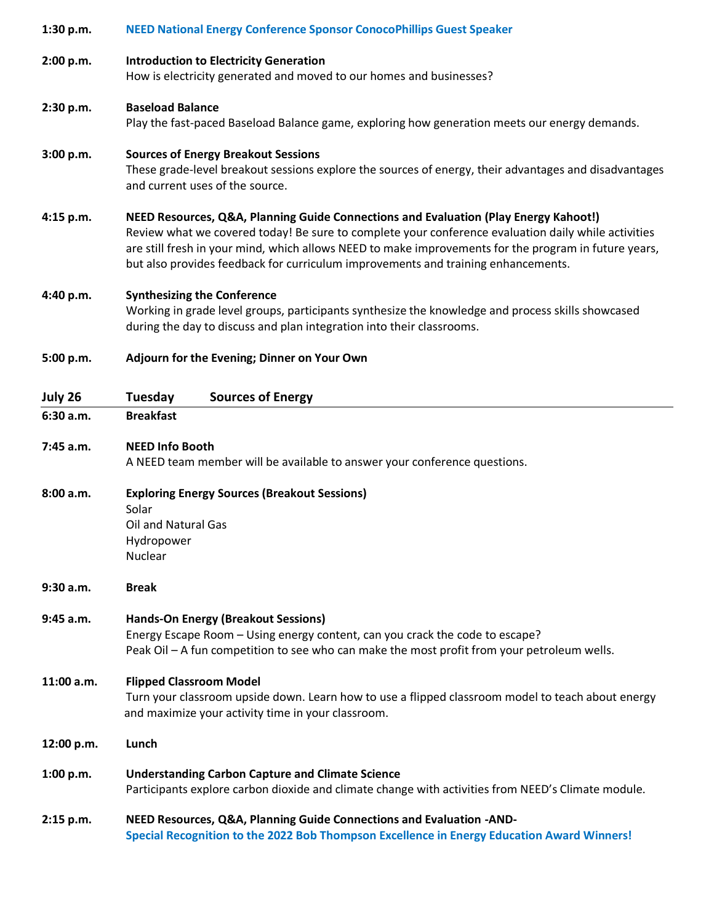# **1:30 p.m. NEED National Energy Conference Sponsor ConocoPhillips Guest Speaker 2:00 p.m. Introduction to Electricity Generation**

How is electricity generated and moved to our homes and businesses?

# **2:30 p.m. Baseload Balance**

Play the fast-paced Baseload Balance game, exploring how generation meets our energy demands.

### **3:00 p.m. Sources of Energy Breakout Sessions**

These grade-level breakout sessions explore the sources of energy, their advantages and disadvantages and current uses of the source.

### **4:15 p.m. NEED Resources, Q&A, Planning Guide Connections and Evaluation (Play Energy Kahoot!)**

Review what we covered today! Be sure to complete your conference evaluation daily while activities are still fresh in your mind, which allows NEED to make improvements for the program in future years, but also provides feedback for curriculum improvements and training enhancements.

### **4:40 p.m. Synthesizing the Conference**

Working in grade level groups, participants synthesize the knowledge and process skills showcased during the day to discuss and plan integration into their classrooms.

### **5:00 p.m. Adjourn for the Evening; Dinner on Your Own**

| July 26    | <b>Sources of Energy</b><br>Tuesday                                                                                                                     |  |  |  |
|------------|---------------------------------------------------------------------------------------------------------------------------------------------------------|--|--|--|
| 6:30a.m.   | <b>Breakfast</b>                                                                                                                                        |  |  |  |
| 7:45 a.m.  | <b>NEED Info Booth</b>                                                                                                                                  |  |  |  |
|            | A NEED team member will be available to answer your conference questions.                                                                               |  |  |  |
| 8:00 a.m.  | <b>Exploring Energy Sources (Breakout Sessions)</b>                                                                                                     |  |  |  |
|            | Solar                                                                                                                                                   |  |  |  |
|            | <b>Oil and Natural Gas</b>                                                                                                                              |  |  |  |
|            | Hydropower                                                                                                                                              |  |  |  |
|            | <b>Nuclear</b>                                                                                                                                          |  |  |  |
| 9:30 a.m.  | <b>Break</b>                                                                                                                                            |  |  |  |
| 9:45 a.m.  | <b>Hands-On Energy (Breakout Sessions)</b>                                                                                                              |  |  |  |
|            | Energy Escape Room - Using energy content, can you crack the code to escape?                                                                            |  |  |  |
|            | Peak Oil - A fun competition to see who can make the most profit from your petroleum wells.                                                             |  |  |  |
| 11:00 a.m. | <b>Flipped Classroom Model</b>                                                                                                                          |  |  |  |
|            | Turn your classroom upside down. Learn how to use a flipped classroom model to teach about energy<br>and maximize your activity time in your classroom. |  |  |  |
| 12:00 p.m. | Lunch                                                                                                                                                   |  |  |  |
| 1:00 p.m.  | <b>Understanding Carbon Capture and Climate Science</b>                                                                                                 |  |  |  |
|            | Participants explore carbon dioxide and climate change with activities from NEED's Climate module.                                                      |  |  |  |
| 2:15 p.m.  | NEED Resources, Q&A, Planning Guide Connections and Evaluation -AND-                                                                                    |  |  |  |
|            | Special Recognition to the 2022 Bob Thompson Excellence in Energy Education Award Winners!                                                              |  |  |  |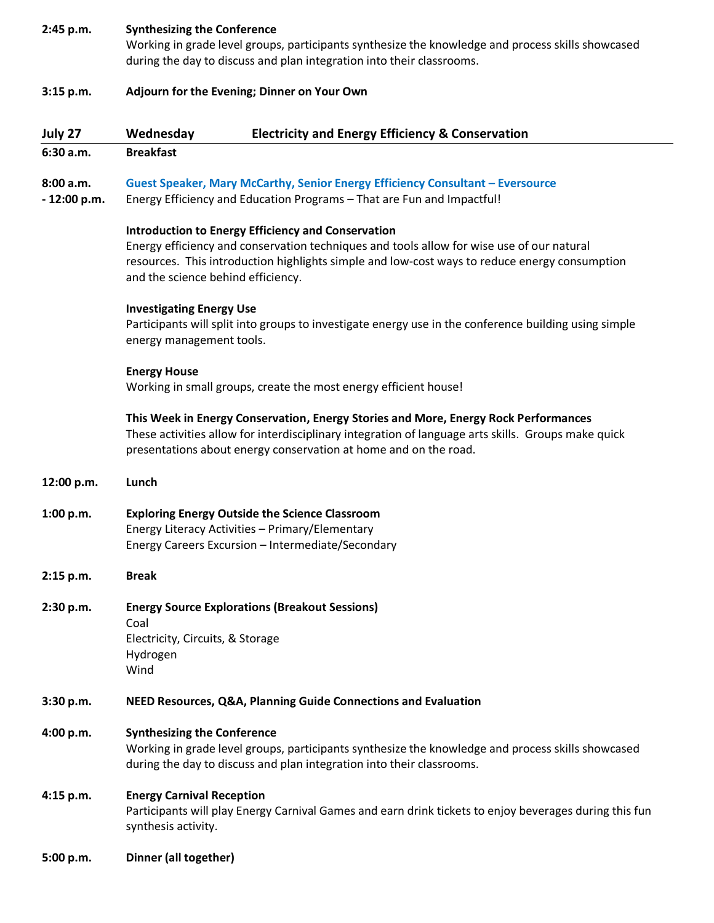### **2:45 p.m. Synthesizing the Conference**

Working in grade level groups, participants synthesize the knowledge and process skills showcased during the day to discuss and plan integration into their classrooms.

- **3:15 p.m. Adjourn for the Evening; Dinner on Your Own**
- **July 27 Wednesday Electricity and Energy Efficiency & Conservation**

**6:30 a.m. Breakfast**

# **8:00 a.m. Guest Speaker, Mary McCarthy, Senior Energy Efficiency Consultant – Eversource**

**- 12:00 p.m.** Energy Efficiency and Education Programs – That are Fun and Impactful!

### **Introduction to Energy Efficiency and Conservation**

Energy efficiency and conservation techniques and tools allow for wise use of our natural resources. This introduction highlights simple and low-cost ways to reduce energy consumption and the science behind efficiency.

### **Investigating Energy Use**

Participants will split into groups to investigate energy use in the conference building using simple energy management tools.

### **Energy House**

Working in small groups, create the most energy efficient house!

### **This Week in Energy Conservation, Energy Stories and More, Energy Rock Performances**

These activities allow for interdisciplinary integration of language arts skills. Groups make quick presentations about energy conservation at home and on the road.

- **12:00 p.m. Lunch**
- **1:00 p.m. Exploring Energy Outside the Science Classroom** Energy Literacy Activities – Primary/Elementary Energy Careers Excursion – Intermediate/Secondary
- **2:15 p.m. Break**
- **2:30 p.m. Energy Source Explorations (Breakout Sessions)** Coal Electricity, Circuits, & Storage Hydrogen Wind
- **3:30 p.m. NEED Resources, Q&A, Planning Guide Connections and Evaluation**

### **4:00 p.m. Synthesizing the Conference**

Working in grade level groups, participants synthesize the knowledge and process skills showcased during the day to discuss and plan integration into their classrooms.

# **4:15 p.m. Energy Carnival Reception**

Participants will play Energy Carnival Games and earn drink tickets to enjoy beverages during this fun synthesis activity.

**5:00 p.m. Dinner (all together)**